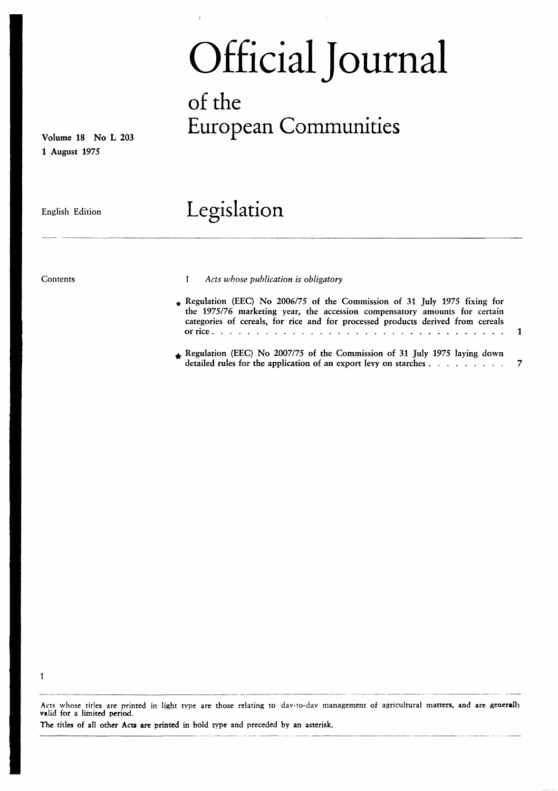# Official Journal

# of the Volume <sup>18</sup> No <sup>L</sup> <sup>203</sup> European Communities

1 August 1975

## English Edition Legislation

1

Contents **I** Acts whose publication is obligatory

- Regulation (EEC) No 2006/75 of the Commission of 31 July 1975 fixing for the 1975/76 marketing year, the accession compensatory amounts for certain categories of cereals, for rice and for processed products derived from cereals or rice <sup>1</sup>
- Regulation (EEC) No 2007/75 of the Commission of 31 July 1975 laying down detailed rules for the application of an export levy on starches  $\dots$   $\dots$   $\dots$   $\dots$   $\qquad$  7

Acts whose titles are printed in light type are those relating to day-to-day management of agricultural matters, and are generally valid for a limited period.

The titles of all other Acts are printed in bold type and preceded by an asterisk.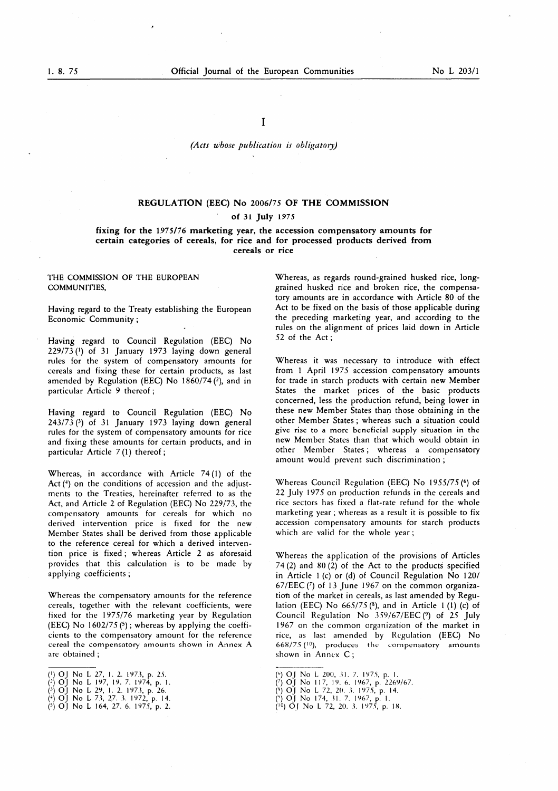I

#### (Acts whose publication is obligatory)

## REGULATION (EEC) No 2006/75 OF THE COMMISSION of 31 July 1975

#### fixing for the 1975/76 marketing year, the accession compensatory amounts for certain categories of cereals, for rice and for processed products derived from cereals or rice

#### THE COMMISSION OF THE EUROPEAN COMMUNITIES,

Having regard to the Treaty establishing the European Economic Community ;

Having regard to Council Regulation (EEC) No 229/73 (') of 31 January 1973 laying down general rules for the system of compensatory amounts for cereals and fixing these for certain products, as last amended by Regulation (EEC) No  $1860/74$  (2), and in particular Article 9 thereof ;

Having regard to Council Regulation (EEC) No  $243/73$  (3) of 31 January 1973 laying down general rules for the system of compensatory amounts for rice and fixing these amounts for certain products, and in particular Article  $7(1)$  thereof;

Whereas, in accordance with Article  $74(1)$  of the Act  $(4)$  on the conditions of accession and the adjustments to the Treaties, hereinafter referred to as the Act, and Article 2 of Regulation (EEC) No 229/73, the compensatory amounts for cereals for which no derived intervention price is fixed for the new Member States shall be derived from those applicable to the reference cereal for which a derived intervention price is fixed ; whereas Article 2 as aforesaid provides that this calculation is to be made by applying coefficients ;

Whereas the compensatory amounts for the reference cereals, together with the relevant coefficients, were fixed for the 1975/76 marketing year by Regulation (EEC) No  $1602/75$  (<sup>5</sup>); whereas by applying the coefficients to the compensatory amount for the reference cereal the compensatory amounts shown in Annex A are obtained ;

- $(2)$  OJ No L 197, 19. 7. 1974, p. 1.
- $\binom{3}{2}$  OJ No L 29, 1. 2. 1973, p. 26.
- $(+)$  OJ No L 73, 27. 3. 1972, p. 14.  $(5)$  OJ No L 164, 27. 6. 1975, p. 2.

Whereas, as regards round-grained husked rice, longgrained husked rice and broken rice, the compensatory amounts are in accordance with Article 80 of the Act to be fixed on the basis of those applicable during the preceding marketing year, and according to the rules on the alignment of prices laid down in Article 52 of the Act ;

Whereas it was necessary to introduce with effect from <sup>1</sup> April 1975 accession compensatory amounts for trade in starch products with certain new Member States the market prices of the basic products concerned, less the production refund, being lower in these new Member States than those obtaining in the other Member States ; whereas such a situation could give rise to a more beneficial supply situation in the new Member States than that which would obtain in other Member States ; whereas a compensatory amount would prevent such discrimination ;

Whereas Council Regulation (EEC) No 1955/75 (6) of 22 July 1975 on production refunds in the cereals and rice sectors has fixed a flat-rate refund for the whole marketing year ; whereas as a result it is possible to fix accession compensatory amounts for starch products which are valid for the whole year ;

Whereas the application of the provisions of Articles 74 (2) and 80 (2) of the Act to the products specified in Article <sup>1</sup> (c) or (d) of Council Regulation No 120/  $67/EEC$  ( $\frac{7}{13}$  June 1967 on the common organization of the market in cereals, as last amended by Regulation (EEC) No  $665/75$  ( $8$ ), and in Article 1 (1) (c) of Council Regulation No 359/67/EEC (9) of 25 July 1967 on the common organization of the market in rice, as last amended by Regulation (EEC) No  $668/75$  ( $10$ ), produces the compensatory amounts shown in Annex C ;

- $(8)$  OJ No L 72, 20. 3. 1975, p. 14.
- $(9)$  OJ No 174, 31. 7. 1967, p. 1.
- I0 ) OJ No <sup>L</sup> 72, 20 . 3 . 1975, p. 18 .

<sup>(1)</sup> OJ No L 27, 1. 2. 1973, p. 25.

<sup>(</sup>b) OJ No L 200, 31. 7. 1975, p. 1.

 $(7)$  OJ No 117, 19. 6. 1967, p. 2269/67.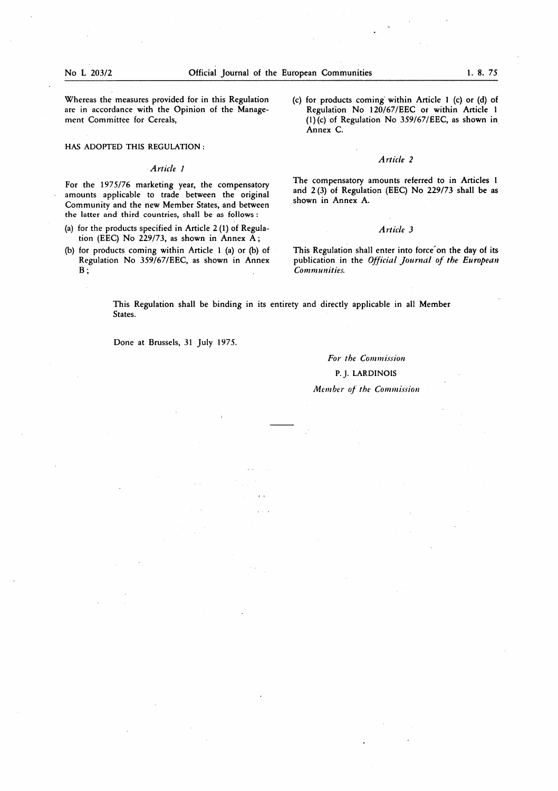$\mathcal{L}(\mathcal{A})$ 

Whereas the measures provided for in this Regulation are in accordance with the Opinion of the Management Committee for Cereals,

HAS ADOPTED THIS REGULATION :

#### Article <sup>1</sup>

For the 1975/76 marketing year, the compensatory amounts applicable to trade between the original Community and the new Member States, and between the latter and third countries, shall be as follows :

- (a) for the products specified in Article  $2(1)$  of Regulation (EEC) No 229/73, as shown in Annex  $A$ ;
- (b) for products coming within Article <sup>1</sup> (a) or (b) of Regulation No 359/67/EEC, as shown in Annex  $\mathbf{B}$  ;

(c) for products coming within Article <sup>1</sup> (c) or (d) of Regulation No 120/67/EEC or within Article <sup>1</sup> (1) (c) of Regulation No 359/67/EEC, as shown in Annex C.

#### Article 2

The compensatory amounts referred to in Articles <sup>1</sup> and 2(3) of Regulation (EEC) No 229/73 shall be as shown in Annex A.

#### Article 3

This Regulation shall enter into force on the day of its publication in the Official Journal of the European Communities.

This Regulation shall be binding in its entirety and directly applicable in all Member States.

 $\mathcal{L}(\mathcal{L})$  and  $\mathcal{L}(\mathcal{L})$  and  $\mathcal{L}(\mathcal{L})$  and  $\mathcal{L}(\mathcal{L})$ 

Done at Brussels, 31 July 1975.

 $\label{eq:2.1} \mathcal{L}(\mathcal{L}(\mathcal{L})) = \mathcal{L}(\mathcal{L}(\mathcal{L})) = \mathcal{L}(\mathcal{L}(\mathcal{L}))$ 

 $\mathcal{O}(\mathcal{O}(\log n))$ 

#### For the Commission

#### P.J. LARDINOIS

#### Member of the Commission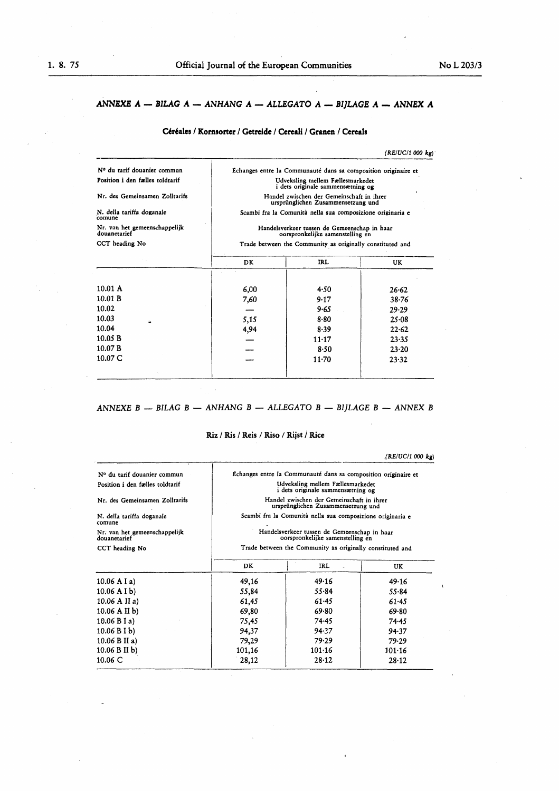#### ANNEXE  $A - BILAG A - ANHANG A - ALLEGATO A - BIJLAGE A - ANNEX A$

#### Céréales / Kornsorter / Getreide / Cereali / Granen / Cereals

(RE/UC/l 000 kg)

| Nº du tarif douanier commun                   | Echanges entre la Communauté dans sa composition originaire et<br>Udveksling mellem Fællesmarkedet<br>i dets originale sammensætning og<br>Handel zwischen der Gemeinschaft in ihrer<br>ursprünglichen Zusammensetzung und<br>Scambi fra la Comunità nella sua composizione originaria e |                                                           |       |  |  |
|-----------------------------------------------|------------------------------------------------------------------------------------------------------------------------------------------------------------------------------------------------------------------------------------------------------------------------------------------|-----------------------------------------------------------|-------|--|--|
| Position i den fælles toldtarif               |                                                                                                                                                                                                                                                                                          |                                                           |       |  |  |
| Nr. des Gemeinsamen Zolltarifs                |                                                                                                                                                                                                                                                                                          |                                                           |       |  |  |
| N. della tariffa doganale<br>comune           |                                                                                                                                                                                                                                                                                          |                                                           |       |  |  |
| Nr. van het gemeenschappelijk<br>douanetarief | Handelsverkeer tussen de Gemeenschap in haar<br>oorspronkelijke samenstelling en                                                                                                                                                                                                         |                                                           |       |  |  |
| CCT heading No                                |                                                                                                                                                                                                                                                                                          | Trade between the Community as originally constituted and |       |  |  |
|                                               | DK.                                                                                                                                                                                                                                                                                      | IRL                                                       | UK.   |  |  |
|                                               |                                                                                                                                                                                                                                                                                          |                                                           |       |  |  |
| 10.01 A                                       | 6,00                                                                                                                                                                                                                                                                                     | 4.50                                                      | 26.62 |  |  |
| 10.01 B                                       | 7,60                                                                                                                                                                                                                                                                                     | 9.17                                                      | 38.76 |  |  |
| 10.02                                         |                                                                                                                                                                                                                                                                                          | 9.65                                                      | 29.29 |  |  |
| 10.03                                         | 5,15                                                                                                                                                                                                                                                                                     | 8.80                                                      | 25.08 |  |  |
| 10.04                                         | 4,94                                                                                                                                                                                                                                                                                     | 8.39                                                      | 22.62 |  |  |
| 10.05 B                                       |                                                                                                                                                                                                                                                                                          | $11 - 17$                                                 | 23.35 |  |  |
| 10.07 B                                       |                                                                                                                                                                                                                                                                                          | 8.50                                                      | 23.20 |  |  |
| 10.07C                                        |                                                                                                                                                                                                                                                                                          | $11-70$                                                   | 23.32 |  |  |
|                                               |                                                                                                                                                                                                                                                                                          |                                                           |       |  |  |

#### ANNEXE  $B$  — BILAG  $B$  — ANHANG  $B$  — ALLEGATO  $B$  — BIJLAGE  $B$  — ANNEX  $B$

#### Riz / Ris / Reis / Riso / Rijst / Rice

(RE/UC/1 000 kg)

 $\label{eq:2.1} \mathcal{L}(\mathcal{L}^{\text{max}}_{\mathcal{L}}(\mathcal{L}^{\text{max}}_{\mathcal{L}}))\leq \mathcal{L}(\mathcal{L}^{\text{max}}_{\mathcal{L}}(\mathcal{L}^{\text{max}}_{\mathcal{L}}))$ 

| Nº du tarif douanier commun                   |        | Échanges entre la Communauté dans sa composition originaire et                   |            |  |  |
|-----------------------------------------------|--------|----------------------------------------------------------------------------------|------------|--|--|
| Position i den fælles toldtarif               |        | Udveksling mellem Fællesmarkedet<br>i dets originale sammensætning og            |            |  |  |
| Nr. des Gemeinsamen Zolltarifs                |        | Handel zwischen der Gemeinschaft in ihrer<br>ursprünglichen Zusammensetzung und  |            |  |  |
| N. della tariffa doganale<br>comune           |        | Scambi fra la Comunità nella sua composizione originaria e                       |            |  |  |
| Nr. van het gemeenschappelijk<br>douanetarief |        | Handelsverkeer tussen de Gemeenschap in haar<br>oorspronkelijke samenstelling en |            |  |  |
| CCT heading No                                |        | Trade between the Community as originally constituted and                        |            |  |  |
|                                               | DK.    | <b>IRL</b>                                                                       | <b>UK</b>  |  |  |
| $10.06$ A I a)                                | 49,16  | 49.16                                                                            | 49.16      |  |  |
| $10.06$ A I b)                                | 55,84  | 55.84                                                                            | 55.84      |  |  |
| $10.06$ A II a)                               | 61,45  | 61.45                                                                            | 61.45      |  |  |
| $10.06$ A II b)                               | 69,80  | 69.80                                                                            | 69.80      |  |  |
| 10.06 B I a                                   | 75,45  | 74.45                                                                            | 74.45      |  |  |
| 10.06 B I b                                   | 94,37  | 94.37                                                                            | 94.37      |  |  |
| 10.06 B II a)                                 | 79,29  | 79.29                                                                            | 79.29      |  |  |
| 10.06 B II b)                                 | 101,16 | 101:16                                                                           | $101 - 16$ |  |  |
| $10.06 \text{ C}$                             | 28,12  | 28.12                                                                            | 28.12      |  |  |

the contract of the contract of the contract of the contract of the contract of

 $\label{eq:2.1} \frac{1}{\sqrt{2\pi}}\int_{\mathbb{R}^3}\frac{1}{\sqrt{2\pi}}\int_{\mathbb{R}^3}\frac{1}{\sqrt{2\pi}}\int_{\mathbb{R}^3}\frac{1}{\sqrt{2\pi}}\int_{\mathbb{R}^3}\frac{1}{\sqrt{2\pi}}\int_{\mathbb{R}^3}\frac{1}{\sqrt{2\pi}}\int_{\mathbb{R}^3}\frac{1}{\sqrt{2\pi}}\frac{1}{\sqrt{2\pi}}\int_{\mathbb{R}^3}\frac{1}{\sqrt{2\pi}}\frac{1}{\sqrt{2\pi}}\int_{\mathbb{R}^3}\frac{$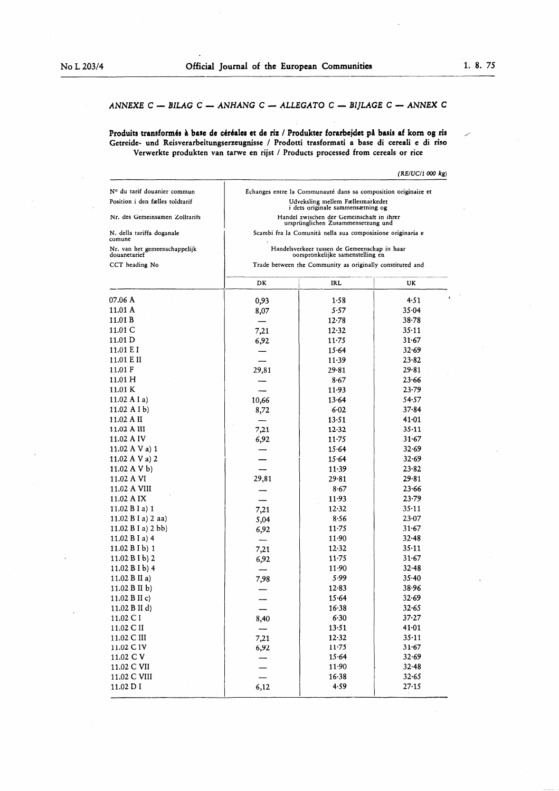$\overline{\phantom{a}}$ 

### ANNEXE C - BILAG C - ANHANG C - ALLEGATO C - BIJLAGE C - ANNEX C

Produits transformés à base de céréales et de riz / Produkter forarbejdet på basis af korn og ris Getreide- und Reisverarbeitungserzeugnisse / Prodotti trasformati a base di cereali e di riso Verwerkte produkten van tarwe en rijst / Products processed from cereals or rice

#### $(RE/UC/1000 kg)$

 $\label{eq:2.1} \frac{1}{\sqrt{2\pi}}\int_{\mathbb{R}^3}\frac{1}{\sqrt{2\pi}}\int_{\mathbb{R}^3}\frac{1}{\sqrt{2\pi}}\int_{\mathbb{R}^3}\frac{1}{\sqrt{2\pi}}\int_{\mathbb{R}^3}\frac{1}{\sqrt{2\pi}}\int_{\mathbb{R}^3}\frac{1}{\sqrt{2\pi}}\frac{1}{\sqrt{2\pi}}\int_{\mathbb{R}^3}\frac{1}{\sqrt{2\pi}}\frac{1}{\sqrt{2\pi}}\frac{1}{\sqrt{2\pi}}\frac{1}{\sqrt{2\pi}}\frac{1}{\sqrt{2\pi}}\$ 

| Nº du tarif douanier commun                   | Échanges entre la Communauté dans sa composition originaire et                                                                                |                                                                                  |           |
|-----------------------------------------------|-----------------------------------------------------------------------------------------------------------------------------------------------|----------------------------------------------------------------------------------|-----------|
| Position i den fælles toldtarif               | Udveksling mellem Fællesmarkedet<br>i dets originale sammensætning og                                                                         |                                                                                  |           |
| Nr. des Gemeinsamen Zolltarifs                | Handel zwischen der Gemeinschaft in ihrer<br>ursprünglichen Zusammensetzung und<br>Scambi fra la Comunità nella sua composizione originaria e |                                                                                  |           |
| N. della tariffa doganale<br>comune           |                                                                                                                                               |                                                                                  |           |
| Nr. van het gemeenschappelijk<br>douanetarief |                                                                                                                                               | Handelsverkeer tussen de Gemeenschap in haar<br>oorspronkelijke samenstelling en |           |
| CCT heading No                                |                                                                                                                                               | Trade between the Community as originally constituted and                        |           |
|                                               | DK                                                                                                                                            | <b>IRL</b>                                                                       | UK        |
| 07.06 A                                       | 0,93                                                                                                                                          | 1.58                                                                             | 4.51      |
| 11.01 A                                       | 8,07                                                                                                                                          | 5.57                                                                             | 35.04     |
| 11.01 B                                       |                                                                                                                                               | $12 - 78$                                                                        | $38 - 78$ |
| 11.01 C                                       | 7,21                                                                                                                                          | 12.32                                                                            | 35.11     |
| 11.01 D                                       | 6,92                                                                                                                                          | $11 - 75$                                                                        | 31.67     |
| 11.01 E I                                     |                                                                                                                                               | 15.64                                                                            | 32.69     |
| 11.01 E II                                    |                                                                                                                                               | 11.39                                                                            | 23.82     |
| 11.01 F                                       | 29,81                                                                                                                                         | 29.81                                                                            | 29.81     |
| 11.01H                                        |                                                                                                                                               | 8.67                                                                             | 23.66     |
| 11.01 K                                       |                                                                                                                                               | 11.93                                                                            | $23 - 79$ |
| 11.02 A I a)                                  |                                                                                                                                               | 13.64                                                                            | 54.57     |
| 11.02 A I b)                                  | 10,66                                                                                                                                         | 6.02                                                                             | 37.84     |
| 11.02 A II                                    | 8,72                                                                                                                                          | 13.51                                                                            | 41.01     |
| 11.02 A III                                   |                                                                                                                                               |                                                                                  | 35.11     |
| 11.02 A IV                                    | 7,21                                                                                                                                          | 12.32                                                                            | 31.67     |
|                                               | 6,92                                                                                                                                          | $11 - 75$                                                                        | 32.69     |
| 11.02 A V a) 1                                |                                                                                                                                               | 15.64                                                                            |           |
| 11.02 A V a) 2                                |                                                                                                                                               | 15.64                                                                            | 32.69     |
| 11.02 A V b)                                  |                                                                                                                                               | 11.39                                                                            | 23.82     |
| 11.02 A VI                                    | 29,81                                                                                                                                         | 29.81                                                                            | 29.81     |
| 11.02 A VIII                                  |                                                                                                                                               | 8.67                                                                             | 23.66     |
| 11.02 A IX                                    | -----                                                                                                                                         | 11.93                                                                            | 23.79     |
| 11.02 $B I a$ ) 1                             | 7,21                                                                                                                                          | 12.32                                                                            | $35 - 11$ |
| 11.02 B I a) 2 aa)                            | 5,04                                                                                                                                          | 8.56                                                                             | 23.07     |
| 11.02 B I a) 2 bb)                            | 6,92                                                                                                                                          | $11 - 75$                                                                        | 31.67     |
| 11.02 B I a) $4$                              |                                                                                                                                               | 11.90                                                                            | $32 - 48$ |
| 11.02 B I b) 1                                | 7,21                                                                                                                                          | 12.32                                                                            | 35.11     |
| $11.02 B I b$ ) 2                             | 6,92                                                                                                                                          | $11-75$                                                                          | 31.67     |
| 11.02 $B I b$ ) 4                             |                                                                                                                                               | 11.90                                                                            | 32.48     |
| 11.02 B II a)                                 | 7,98                                                                                                                                          | 5.99                                                                             | $35 - 40$ |
| 11.02 B II b)                                 |                                                                                                                                               | 12.83                                                                            | 38.96     |
| 11.02 B II c)                                 |                                                                                                                                               | 15.64                                                                            | 32.69     |
| 11.02 B II d)                                 |                                                                                                                                               | 16.38                                                                            | 32.65     |
| 11.02 C I                                     | 8,40                                                                                                                                          | 6.30                                                                             | 37.27     |
| 11.02 C II                                    |                                                                                                                                               | 13.51                                                                            | 41.01     |
| 11.02 C III                                   | 7,21                                                                                                                                          | 12.32                                                                            | 35.11     |
| 11.02 C IV                                    | 6,92                                                                                                                                          | $11 - 75$                                                                        | 31.67     |
| 11.02 C V                                     |                                                                                                                                               | 15.64                                                                            | 32.69     |
| 11.02 C VII                                   |                                                                                                                                               | 11.90                                                                            | 32.48     |
| 11.02 C VIII                                  |                                                                                                                                               | 16.38                                                                            | 32.65     |
| 11.02 D I                                     | 6,12                                                                                                                                          | 4.59                                                                             | 27.15     |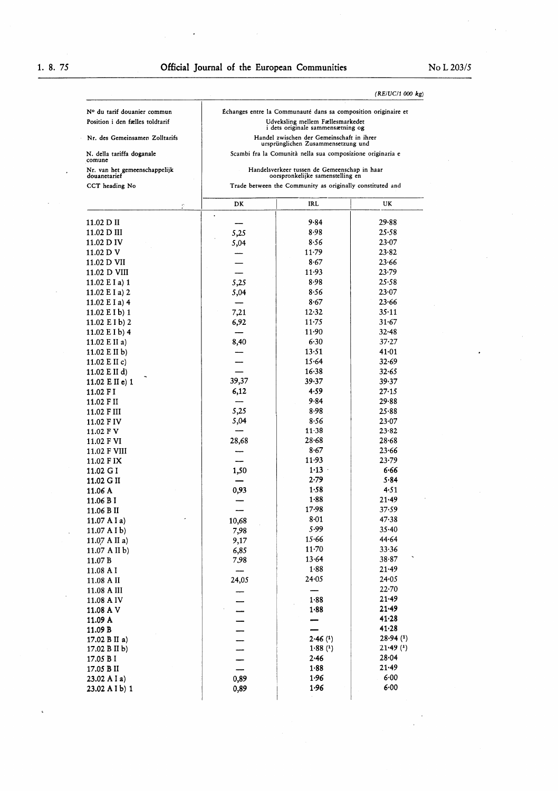| (RE/UC/1000 kg) |
|-----------------|
|-----------------|

| N. della tariffa doganale<br>comune           |                                                           | Scambi fra la Comunità nella sua composizione originaria e                       |                |
|-----------------------------------------------|-----------------------------------------------------------|----------------------------------------------------------------------------------|----------------|
| Nr. van het gemeenschappelijk<br>douanetarief |                                                           | Handelsverkeer tussen de Gemeenschap in haar<br>oorspronkelijke samenstelling en |                |
| CCT heading No                                | Trade between the Community as originally constituted and |                                                                                  |                |
| e                                             | DK                                                        | IRL                                                                              | UK             |
| 11.02 D II                                    | ٠                                                         | 9.84                                                                             | 29.88          |
| 11.02 D III                                   | 5,25                                                      | 8.98                                                                             | 25.58          |
| 11.02 D IV                                    | 5,04                                                      | 8.56                                                                             | 23.07          |
| 11.02 D V                                     |                                                           | $11 - 79$                                                                        | 23.82          |
| 11.02 D VII                                   |                                                           | 8.67                                                                             | 23.66          |
| 11.02 D VIII                                  |                                                           | 11.93                                                                            | 23.79          |
| 11.02 $E I a$ ) 1                             | 5,25                                                      | 8.98                                                                             | 25.58          |
| 11.02 E I a) 2                                | 5,04                                                      | 8.56                                                                             | 23.07          |
| 11.02 $E I a$ ) 4                             |                                                           | 8.67                                                                             | 23.66          |
| 11.02 $E I b$ ) 1                             | 7,21                                                      | 12.32<br>$11 - 75$                                                               | 35.11<br>31.67 |
| 11.02 $E I b$ ) 2<br>$11.02$ E I b) 4         | 6,92                                                      | 11.90                                                                            | $32 - 48$      |
| 11.02 E II a)                                 | 8,40                                                      | 6.30                                                                             | 37.27          |
| 11.02 E II b)                                 |                                                           | 13.51                                                                            | 41.01          |
| 11.02 E II c)                                 |                                                           | 15.64                                                                            | 32.69          |
| 11.02 E II d)                                 |                                                           | 16.38                                                                            | 32.65          |
| $11.02$ E II e) 1                             | 39,37                                                     | 39.37                                                                            | 39.37          |
| 11.02 F I                                     | 6,12                                                      | 4.59                                                                             | 27.15          |
| 11.02 F II                                    |                                                           | 9.84                                                                             | 29.88          |
| 11.02 F III                                   | 5,25                                                      | 8.98                                                                             | 25.88          |
| 11.02 F IV                                    | 5,04                                                      | 8.56                                                                             | 23.07          |
| 11.02 F V                                     |                                                           | $11 - 38$                                                                        | 23.82          |
| 11.02 F VI                                    | 28,68                                                     | $28 - 68$                                                                        | $28 - 68$      |
| 11.02 F VIII                                  |                                                           | 8.67                                                                             | 23.66          |
| 11.02 F IX                                    |                                                           | 11.93<br>1.13                                                                    | 23.79          |
| 11.02 G I                                     | 1,50                                                      | 2.79                                                                             | 6.66<br>5.84   |
| 11.02 G II<br>11.06 A                         | 0,93                                                      | 1.58                                                                             | 4.51           |
| 11.06 B I                                     |                                                           | 1.88                                                                             | 21.49          |
| 11.06 B II                                    |                                                           | 17.98                                                                            | 37.59          |
| 11.07 A I a)                                  | 10,68                                                     | 8.01                                                                             | 47.38          |
| 11.07 A I b                                   | 7,98                                                      | 5.99                                                                             | 35.40          |
| 11.07 A II a)                                 | 9,17                                                      | 15.66                                                                            | 44.64          |
| 11.07 A II b)                                 | 6,85                                                      | $11-70$                                                                          | 33.36          |
| 11.07 B                                       | 7,98                                                      | 13.64                                                                            | 38.87          |
| 11.08 A I                                     |                                                           | 1.88                                                                             | 21.49          |
| 11.08 A II                                    | 24,05                                                     | 24.05                                                                            | 24.05          |
| 11.08 A III                                   |                                                           |                                                                                  | 22.70<br>21.49 |
| 11.08 A IV                                    |                                                           | 1.88                                                                             | 21.49          |
| 11.08 A V                                     |                                                           | 1.88                                                                             | 41.28          |
| 11.09 A<br>11.09 B                            |                                                           |                                                                                  | 41.28          |
| 17.02 B II a)                                 |                                                           | 2.46(1)                                                                          | 28.94(1)       |
| 17.02 B II b)                                 |                                                           | 1.88(1)                                                                          | $21.49$ (1)    |
| 17.05 B I                                     |                                                           | 2.46                                                                             | 28.04          |
| 17.05 B II                                    |                                                           | 1.88                                                                             | 21.49          |
| 23.02 A I a                                   | 0,89                                                      | 1.96                                                                             | 6.00           |
| 23.02 A I b) 1                                | 0,89                                                      | 1.96                                                                             | 6.00           |
|                                               |                                                           |                                                                                  |                |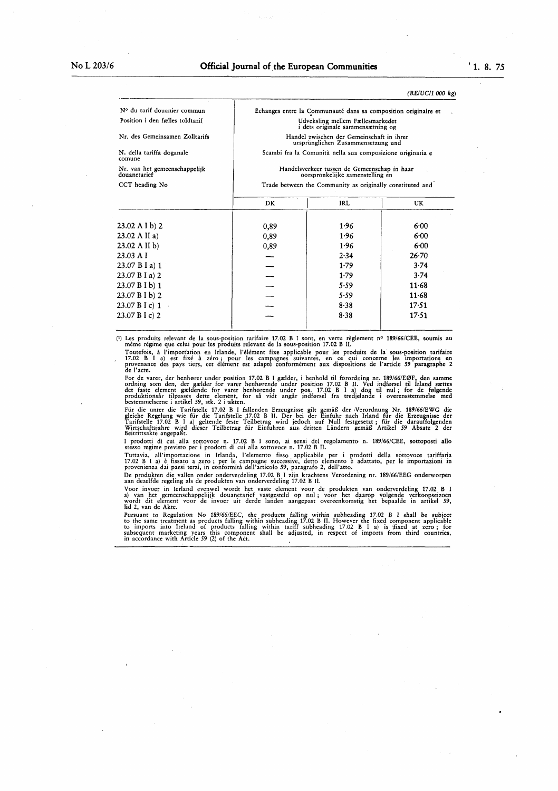$\label{eq:2.1} \mathcal{L}(\mathcal{L}^{\text{max}}_{\mathcal{L}}(\mathcal{L}^{\text{max}}_{\mathcal{L}}(\mathcal{L}^{\text{max}}_{\mathcal{L}}(\mathcal{L}^{\text{max}}_{\mathcal{L}^{\text{max}}_{\mathcal{L}}(\mathcal{L}^{\text{max}}_{\mathcal{L}^{\text{max}}_{\mathcal{L}^{\text{max}}_{\mathcal{L}^{\text{max}}_{\mathcal{L}^{\text{max}}_{\mathcal{L}^{\text{max}}_{\mathcal{L}^{\text{max}}_{\mathcal{L}^{\text{max}}_{\mathcal{L}^{\text{max}}$ 

#### (RE/UC/1000 kg)

| Nº du tarif douanier commun                   | Échanges entre la Communauté dans sa composition originaire et<br>Udveksling mellem Fællesmarkedet<br><i>i</i> dets originale sammensætning og<br>Handel zwischen der Gemeinschaft in ihrer<br>ursprünglichen Zusammensetzung und<br>Scambi fra la Comunità nella sua composizione originaria e |                                                           |           |  |
|-----------------------------------------------|-------------------------------------------------------------------------------------------------------------------------------------------------------------------------------------------------------------------------------------------------------------------------------------------------|-----------------------------------------------------------|-----------|--|
| Position i den fælles toldtarif               |                                                                                                                                                                                                                                                                                                 |                                                           |           |  |
| Nr. des Gemeinsamen Zolltarifs                |                                                                                                                                                                                                                                                                                                 |                                                           |           |  |
| N. della tariffa doganale<br>comune           |                                                                                                                                                                                                                                                                                                 |                                                           |           |  |
| Nr. van het gemeenschappelijk<br>douanetarief | Handelsverkeer tussen de Gemeenschap in haar<br>oorspronkelijke samenstelling en                                                                                                                                                                                                                |                                                           |           |  |
| CCT heading No                                |                                                                                                                                                                                                                                                                                                 | Trade between the Community as originally constituted and |           |  |
|                                               | DK.                                                                                                                                                                                                                                                                                             | IRL                                                       | <b>UK</b> |  |
| $23.02$ A I b) 2                              | 0,89                                                                                                                                                                                                                                                                                            | 1.96                                                      | 6.00      |  |
| $23.02$ A II a)                               | 0,89                                                                                                                                                                                                                                                                                            | 1.96                                                      | 6.00      |  |
| $23.02$ A II b)                               | 0,89                                                                                                                                                                                                                                                                                            | 1.96                                                      | 6.00      |  |
| 23.03 A I                                     |                                                                                                                                                                                                                                                                                                 | 2.34                                                      | $26 - 70$ |  |
| 23.07 B I a) 1                                |                                                                                                                                                                                                                                                                                                 | 1.79                                                      | 3.74      |  |
| 23.07 B I a) 2                                |                                                                                                                                                                                                                                                                                                 | 1.79                                                      | 3.74      |  |
| $23.07 B I b$ ) 1                             |                                                                                                                                                                                                                                                                                                 | 5.59                                                      | $11 - 68$ |  |
| 23.07 B I b) 2                                |                                                                                                                                                                                                                                                                                                 | 5.59                                                      | $11-68$   |  |
| 23.07 B I c) 1                                |                                                                                                                                                                                                                                                                                                 | 8.38                                                      | 17.51     |  |
| $23.07 B I c$ ) 2                             |                                                                                                                                                                                                                                                                                                 | 8.38                                                      | 17.51     |  |

(') Les produits relevant de la sous-position tarifaire 17.02 B I sont, en vertu règlement n° 189/66/CEE, soumis au même régime que celui pour les produits relevant de la sous-position 17.02 <sup>B</sup> II.

Toutefois, à l'importation en Irlande, l'élément fixe applicable pour les produits de la sous-position tarifaire 17.02 B <sup>I</sup> a) est fixé à zéro ; pour les campagnes suivantes, en ce qui concerne les importations en provenance des pays tiers, cet élément est adapté conformément aux dispositions de l'article 59 paragraphe 2 de l'acte.

For de varer, der henhører under position 17.02 B <sup>I</sup> gælder, <sup>i</sup> henhold til forordning nr. 189/66/EØF, den samme ordning som den , der gælder for varer henhørende under position 17.02 B II. Ved indførsel til Irland sættes det faste element gældende for varer henhørende under pos. 17.02 <sup>B</sup> I a) dog til nul ; for de følgende produktionsår tilpasses dette element, for så vidt angår indførser fra tredjelande i overensstemmelse med<br>bestemmelserne i artikel 59, stk. 2 i akten.

Für die unter die Tarifstelle 17.02 B I fallenden Erzeugnisse gilt gemäß der ( Verordnung Nr. 189/66/EWG die gleiche Regelung wie für die Tarifstelle ,17.02 <sup>B</sup> II. Der bei der Einfuhr nach Irland für die Erzeugnisse der Tarifstelle 17.02 B <sup>I</sup> a) geltende feste Teilbetrag wird jedoch auf Null festgesetzt ; für die darauffolgenden Wirtschaftsjahre wird dieser Teilbetrag für Einfuhren aus, dritten Ländern gemäß Artikel 59 Absatz 2 der Beitrittsakte angepaßt.

I prodotti di cui alla sottovoce n . 17.02 <sup>B</sup> I sono, ai sensi del regolamento n . 189/66/CEE, sottoposti allo stesso regime previsto per i prodotti di cui alla sottovoce n. 17.02 B II.

Tuttavia, all'importazione in Irlanda, l'elemento fisso applicabile per <sup>i</sup> prodotti della sottovoce tariffaria 17.02 <sup>B</sup> <sup>I</sup> a) è fissato a zero ; per le campagne successive, detto elemento è adattato, per le importazioni in provenienza dai paesi terzi, in conformità dell'articolo 59, paragrafo 2, dell'atto.

De produkten die vallen onder onderverdeling 17.02 B I zijn krachtens Verordening nr. 189/66/EEG onderworpen aan dezelfde regeling als de produkten van onderverdeling 17.02 B II.

Voor invoer in Ierland evenwel wordt het vaste element voor de produkten van onderverdeling 17.02 B I a) van het gemeenschappelijjk douanetarief vastgesteld op nul ; voor het daarop volgende verkoopseizoen wordt dit element voor de invoer uit derde landen aangepast overeenkomstig het bepaalde in artikel 59, lid 2, van de Akte.

Pursuant to Regulation No 189/66/EEC, the products falling within subheading 17.02 B I shall be subject to the same treatment as products falling within subheading 17.02 B II . However the fixed component applicable to imports into Ireland of products falling within tariff subheading 17.02 B I a) is (fixed at zero ; for subsequent marketing years this component shall be adjusted, in respect of imports from third countries, in accordance with Article 59 (2) of the Act.

 $\label{eq:2} \frac{1}{2}\sum_{i=1}^n\frac{1}{2}\sum_{j=1}^n\frac{1}{2}\sum_{j=1}^n\frac{1}{2}\sum_{j=1}^n\frac{1}{2}\sum_{j=1}^n\frac{1}{2}\sum_{j=1}^n\frac{1}{2}\sum_{j=1}^n\frac{1}{2}\sum_{j=1}^n\frac{1}{2}\sum_{j=1}^n\frac{1}{2}\sum_{j=1}^n\frac{1}{2}\sum_{j=1}^n\frac{1}{2}\sum_{j=1}^n\frac{1}{2}\sum_{j=1}^n\frac{1}{2}\sum_{j=1}^n\frac{$ 

 $\label{eq:2.1} \frac{1}{\sqrt{2}}\left(\frac{1}{\sqrt{2}}\right)^{2} \left(\frac{1}{\sqrt{2}}\right)^{2} \left(\frac{1}{\sqrt{2}}\right)^{2} \left(\frac{1}{\sqrt{2}}\right)^{2} \left(\frac{1}{\sqrt{2}}\right)^{2} \left(\frac{1}{\sqrt{2}}\right)^{2} \left(\frac{1}{\sqrt{2}}\right)^{2} \left(\frac{1}{\sqrt{2}}\right)^{2} \left(\frac{1}{\sqrt{2}}\right)^{2} \left(\frac{1}{\sqrt{2}}\right)^{2} \left(\frac{1}{\sqrt{2}}\right)^{2} \left(\$ 

 $\label{eq:2.1} \mathbf{J} = \mathbf{J} \mathbf{J} + \mathbf{J} \mathbf{J} \mathbf{J}$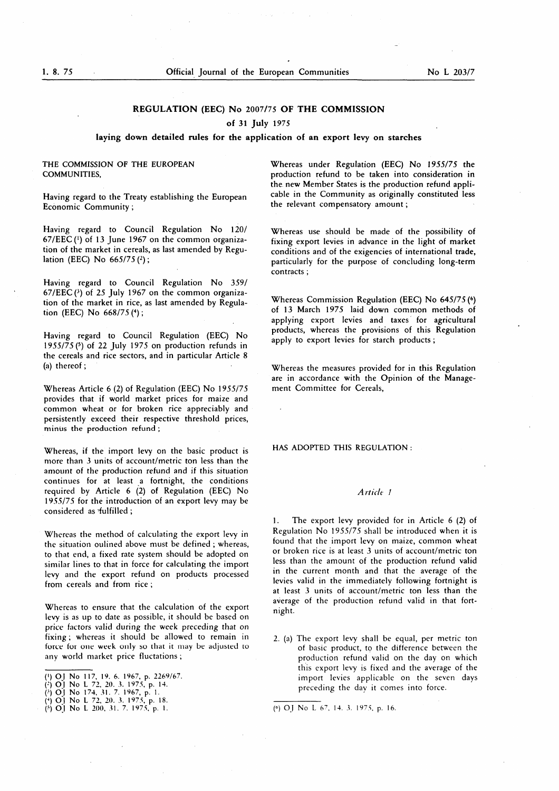#### REGULATION (EEC) No 2007/75 OF THE COMMISSION

#### of 31 July 1975

#### laying down detailed rules for the application of an export levy on starches

#### THE COMMISSION OF THE EUROPEAN COMMUNITIES,

Having regard to the Treaty establishing the European Economic Community ;

Having regard to Council Regulation No 120/  $67/EEC$  ( $\frac{1}{1}$ ) of 13 June 1967 on the common organization of the market in cereals, as last amended by Regulation (EEC) No  $665/75$  (2);

Having regard to Council Regulation No 359/ 67/EEC  $(3)$  of 25 July 1967 on the common organization of the market in rice, as last amended by Regulation (EEC) No  $668/75$  (4);

Having regard to Council Regulation (EEC) No <sup>1</sup> 955/75 (5 ) of 22 July 1975 on production refunds in the cereals and rice sectors, and in particular Article 8 (a) thereof ;

Whereas Article 6 (2) of Regulation (EEC) No 1955/75 provides that if world market prices for maize and common wheat or for broken rice appreciably and persistently exceed their respective threshold prices, minus the production refund ;

Whereas, if the import levy on the basic product is more than 3 units of account/metric ton less than the amount of the production refund and if this situation continues for at least a fortnight, the conditions required by Article 6 (2) of Regulation (EEC) No <sup>1</sup> 955/75 for the introduction of an export levy may be considered as fulfilled ;

Whereas the method of calculating the export levy in the situation oulined above must be defined ; whereas, to that end, a fixed rate system should be adopted on similar lines to that in force for calculating the import levy and the export refund on products processed from cereals and from rice ;

Whereas to ensure that the calculation of the export levy is as up to date as possible, it should be based on price factors valid during the week preceding that on fixing ; whereas it should be allowed to remain in force for one week only so that it may be adjusted to any world market price fluctations ;

Whereas under Regulation (EEC) No 1955/75 the production refund to be taken into consideration in the new Member States is the production refund applicable in the Community as originally constituted less the relevant compensatory amount ;

Whereas use should be made of the possibility of fixing export levies in advance in the light of market conditions and of the exigencies of international trade, particularly for the purpose of concluding long-term contracts ;

Whereas Commission Regulation (EEC) No 645/75 (6) of 13 March 1975 laid down common methods of applying export levies and taxes for agricultural products, whereas the provisions of this Regulation apply to export levies for starch products ;

Whereas the measures provided for in this Regulation are in accordance with the Opinion of the Management Committee for Cereals,

HAS ADOPTED THIS REGULATION :

#### Article <sup>1</sup>

1. The export levy provided for in Article 6 (2) of Regulation No 1955/75 shall be introduced when it is found that the import levy on maize, common wheat or broken rice is at least 3 units of account/metric ton less than the amount of the production refund valid in the current month and that the average of the levies valid in the immediately following fortnight is at least 3 units of account/metric ton less than the average of the production refund valid in that fortnight.

2 . (a) The export levy shall be equal, per metric ton of basic product, to the difference between the production refund valid on the day on which this export levy is fixed and the average of the import levies applicable on the seven days preceding the day it comes into force.

<sup>(«)</sup> OJ No 117, 19 . 6. 1967, p. 2269/67.

<sup>(2)</sup> OJ No L 72, 20. 3. 1975, p. 14.

 $(3)$  OJ No 174, 31, 7, 1967, p. 1.

<sup>{\*)</sup> O'L No L 72, 20. 3 . 1975, p. 18 .

<sup>(5)</sup> OJ No L 200, 31, 7, 1975, p. 1. (a) OJ No L 67, 14, 3, 1975, p. 16.